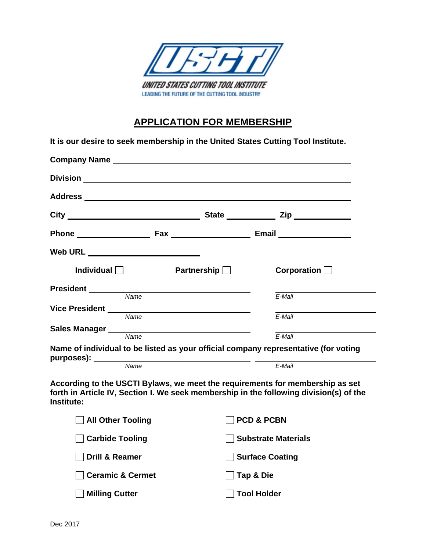

## **APPLICATION FOR MEMBERSHIP**

| It is our desire to seek membership in the United States Cutting Tool Institute.                                                                                                                                               |                    |                                                                                                 |  |  |
|--------------------------------------------------------------------------------------------------------------------------------------------------------------------------------------------------------------------------------|--------------------|-------------------------------------------------------------------------------------------------|--|--|
| Company Name experience and the company name of the contract of the contract of the contract of the contract of the contract of the contract of the contract of the contract of the contract of the contract of the contract o |                    |                                                                                                 |  |  |
|                                                                                                                                                                                                                                |                    |                                                                                                 |  |  |
|                                                                                                                                                                                                                                |                    |                                                                                                 |  |  |
|                                                                                                                                                                                                                                |                    |                                                                                                 |  |  |
|                                                                                                                                                                                                                                |                    | Phone <b>Example 2018</b> Fax <b>CONSIDER ASSESSMENT REMAINS CONSIDER ASSESSMENT RANGE 2019</b> |  |  |
| Web URL ________________________                                                                                                                                                                                               |                    |                                                                                                 |  |  |
| Individual $\Box$                                                                                                                                                                                                              | Partnership $\Box$ | Corporation $\Box$                                                                              |  |  |
| Name                                                                                                                                                                                                                           |                    | F-Mail                                                                                          |  |  |
| Vice President<br>Name                                                                                                                                                                                                         |                    | $E$ -Mail                                                                                       |  |  |
| Sales Manager<br>Name                                                                                                                                                                                                          |                    |                                                                                                 |  |  |
| Name of individual to be listed as your official company representative (for voting                                                                                                                                            |                    | E-Mail                                                                                          |  |  |
| purposes): Name                                                                                                                                                                                                                |                    | E-Mail                                                                                          |  |  |
| According to the USCTI Bylaws, we meet the requirements for membership as set<br>Institute:                                                                                                                                    |                    | forth in Article IV, Section I. We seek membership in the following division(s) of the          |  |  |
| <b>All Other Tooling</b>                                                                                                                                                                                                       |                    | <b>PCD &amp; PCBN</b>                                                                           |  |  |
| <b>Carbide Tooling</b>                                                                                                                                                                                                         |                    | <b>Substrate Materials</b>                                                                      |  |  |
| <b>Drill &amp; Reamer</b>                                                                                                                                                                                                      |                    | <b>Surface Coating</b>                                                                          |  |  |

□ Ceramic & Cermet Tap & Die

**Milling Cutter Community Community Community Community Community Community Community Community Community Community**